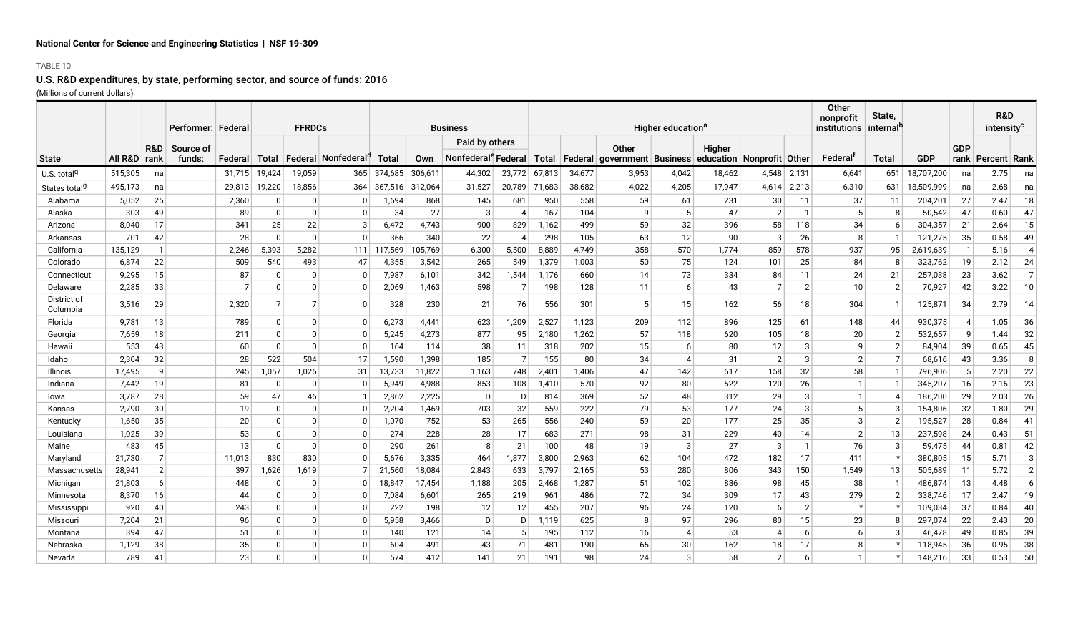# **National Center for Science and Engineering Statistics | NSF 19-309**

## TABLE 10

# U.S. R&D expenditures, by state, performing sector, and source of funds: 2016 (Millions of current dollars)

|                           |                |                | Performer: Federa   |         |              | <b>FFRDCs</b> |                                           | <b>Business</b> |         |                                 |                |        |        | Higher education <sup>a</sup>                                                    |                        | Other<br>nonprofit<br>institutions | State,<br>internal <sup>t</sup> |                |                | R&D<br>intensity <sup>c</sup> |            |            |                       |                |
|---------------------------|----------------|----------------|---------------------|---------|--------------|---------------|-------------------------------------------|-----------------|---------|---------------------------------|----------------|--------|--------|----------------------------------------------------------------------------------|------------------------|------------------------------------|---------------------------------|----------------|----------------|-------------------------------|------------|------------|-----------------------|----------------|
|                           |                |                |                     |         |              |               |                                           | Paid by others  |         |                                 |                |        |        |                                                                                  |                        |                                    |                                 |                |                |                               |            |            |                       |                |
| <b>State</b>              | All R&D   rank | R&D            | Source of<br>funds: | Federal |              |               | Total   Federal   Nonfederal <sup>q</sup> | <b>Total</b>    | Own     | Nonfederal <sup>e</sup> Federal |                |        |        | Other<br>Total   Federal   government   Business   education   Nonprofit   Other |                        | Higher                             |                                 |                | Federal        | <b>Total</b>                  | <b>GDP</b> | <b>GDP</b> | rank   Percent   Rank |                |
| U.S. total <sup>g</sup>   | 515,305        | na             |                     | 31.715  | 19,424       | 19,059        | 365                                       | 374.685         | 306,611 | 44,302                          | 23,772         | 67,813 | 34,677 | 3,953                                                                            | 4,042                  | 18,462                             | 4,548                           | 2,131          | 6,641          | 651                           | 18,707,200 | na         | 2.75                  | na             |
| States total <sup>g</sup> | 495,173        | na             |                     | 29,813  | 19,220       | 18,856        | 364                                       | 367,516         | 312,064 | 31,527                          | 20,789         | 71,683 | 38,682 | 4,022                                                                            | 4,205                  | 17,947                             | 4,614                           | 2,213          | 6,310          | 631                           | 18,509,999 | na         | 2.68                  | na             |
| Alabama                   | 5,052          | 25             |                     | 2,360   | 0            | $\Omega$      | <sup>0</sup>                              | 1,694           | 868     | 145                             | 681            | 950    | 558    | 59                                                                               | 61                     | 231                                | 30                              | 11             | 37             | 11                            | 204,201    | 27         | 2.47                  | 18             |
| Alaska                    | 303            | 49             |                     | 89      | $\Omega$     | $\mathbf{0}$  | $\Omega$                                  | 34              | 27      | 3                               | 4              | 167    | 104    | q                                                                                | 5                      | 47                                 | $\overline{2}$                  | -1             | 5              | 8                             | 50,542     | 47         | 0.60                  | 47             |
| Arizona                   | 8,040          | 17             |                     | 341     | 25           | 22            | 3                                         | 6,472           | 4,743   | 900                             | 829            | 1,162  | 499    | 59                                                                               | 32                     | 396                                | 58                              | 118            | 34             | 6                             | 304,357    | 21         | 2.64                  | 15             |
| Arkansas                  | 701            | 42             |                     | 28      | $\Omega$     | $\Omega$      | $\Omega$                                  | 366             | 340     | 22                              | 4              | 298    | 105    | 63                                                                               | 12                     | 90                                 | 3                               | 26             | 8              | $\mathbf{1}$                  | 121,275    | 35         | 0.58                  | 49             |
| California                | 135,129        | $\mathbf{1}$   |                     | 2.246   | 5.393        | 5,282         | 111                                       | 117.569         | 05,769  | 6,300                           | 5,500          | 8,889  | 4.749  | 358                                                                              | 570                    | 1.774                              | 859                             | 578            | 937            | 95                            | 2,619,639  |            | 5.16                  |                |
| Colorado                  | 6,874          | 22             |                     | 509     | 540          | 493           | 47                                        | 4,355           | 3,542   | 265                             | 549            | 1,379  | 1,003  | 50                                                                               | 75                     | 124                                | 101                             | 25             | 84             | 8                             | 323,762    | 19         | 2.12                  | 24             |
| Connecticut               | 9,295          | 15             |                     | 87      | 0            | $\mathbf{0}$  | $\mathbf{0}$                              | 7,987           | 6,101   | 342                             | 1,544          | 1,176  | 660    | 14                                                                               | 73                     | 334                                | 84                              | 11             | 24             | 21                            | 257,038    | 23         | 3.62                  |                |
| Delaware                  | 2,285          | 33             |                     |         | 0            | $\mathbf{0}$  | 0                                         | 2,069           | 1,463   | 598                             | 7              | 198    | 128    | 11                                                                               | 6                      | 43                                 | $\overline{7}$                  | $\overline{2}$ | 10             | $\overline{2}$                | 70,927     | 42         | 3.22                  | 10             |
| District of<br>Columbia   | 3,516          | 29             |                     | 2,320   | 7            |               | $\Omega$                                  | 328             | 230     | 21                              | 76             | 556    | 301    | 5                                                                                | 15                     | 162                                | 56                              | 18             | 304            | $\mathbf{1}$                  | 125,871    | 34         | 2.79                  | 14             |
| Florida                   | 9,781          | 13             |                     | 789     | $\mathbf{0}$ | $\Omega$      | $\Omega$                                  | 6,273           | 4,441   | 623                             | 1,209          | 2,527  | 1,123  | 209                                                                              | 112                    | 896                                | 125                             | 61             | 148            | 44                            | 930,375    |            | 1.05                  | 36             |
| Georgia                   | 7,659          | 18             |                     | 211     | $\Omega$     | $\Omega$      | <sup>0</sup>                              | 5,245           | 4,273   | 877                             | 95             | 2,180  | 1.262  | 57                                                                               | 118                    | 620                                | 105                             | 18             | 20             | $\overline{2}$                | 532,657    |            | 1.44                  | 32             |
| Hawai                     | 553            | 43             |                     | 60      | $\Omega$     | $\Omega$      | 0                                         | 164             | 114     | 38                              | 11             | 318    | 202    | 15                                                                               | 6                      | 80                                 | 12                              | 3              | q              | $\overline{2}$                | 84,904     | 39         | 0.65                  | 45             |
| Idaho                     | 2,304          | 32             |                     | 28      | 522          | 504           | 17                                        | 1,590           | 1,398   | 185                             | $\overline{7}$ | 155    | 80     | 34                                                                               | $\boldsymbol{\Lambda}$ | 31                                 | $\overline{2}$                  | 3              | $\overline{2}$ | $\overline{7}$                | 68,616     | 43         | 3.36                  | 8              |
| Illinois                  | 17,495         | 9              |                     | 245     | 1,057        | 1,026         | 31                                        | 13,733          | 11,822  | 1,163                           | 748            | 2,401  | 1.406  | 47                                                                               | 142                    | 617                                | 158                             | 32             | 58             | $\mathbf{1}$                  | 796,906    |            | 2.20                  | 22             |
| Indiana                   | 7,442          | 19             |                     | 81      | 0            | n             | <sup>0</sup>                              | 5,949           | 4,988   | 853                             | 108            | 1,410  | 570    | 92                                                                               | 80                     | 522                                | 120                             | 26             | -1             | $\mathbf 1$                   | 345,207    | 16         | 2.16                  | 23             |
| lowa                      | 3,787          | 28             |                     | 59      | 47           | 46            |                                           | 2,862           | 2,225   | D                               | D              | 814    | 369    | 52                                                                               | 48                     | 312                                | 29                              | 3              | -1             | $\overline{4}$                | 186,200    | 29         | 2.03                  | 26             |
| Kansas                    | 2,790          | 30             |                     | 19      | $\Omega$     | <sup>0</sup>  | 0                                         | 2,204           | 1,469   | 703                             | 32             | 559    | 222    | 79                                                                               | 53                     | 177                                | 24                              | 3              | 5              | 3                             | 154,806    | 32         | 1.80                  | 29             |
| Kentucky                  | 1,650          | 35             |                     | 20      | $\Omega$     |               | O                                         | 1,070           | 752     | 53                              | 265            | 556    | 240    | 59                                                                               | 20                     | 177                                | 25                              | 35             | 3              | $\overline{2}$                | 195,527    | 28         | 0.84                  | 41             |
| Louisiana                 | 1,025          | 39             |                     | 53      | $\Omega$     | $\Omega$      | 0                                         | 274             | 228     | 28                              | 17             | 683    | 271    | 98                                                                               | 31                     | 229                                | 40                              | 14             | $\overline{2}$ | 13                            | 237,598    | 24         | 0.43                  | 51             |
| Maine                     | 483            | 45             |                     | 13      | $\Omega$     | $\Omega$      | $\Omega$                                  | 290             | 261     |                                 | 21             | 100    | 48     | 19                                                                               | 3                      | 27                                 | 3                               |                | 76             | 3                             | 59,475     | 44         | 0.81                  | 42             |
| Maryland                  | 21.730         | $\overline{7}$ |                     | 11.013  | 830          | 830           |                                           | 5.676           | 3,335   | 464                             | 1,877          | 3,800  | 2.963  | 62                                                                               | 104                    | 472                                | 182                             | 17             | 411            | $\star$                       | 380,805    | 15         | 5.71                  | 3              |
| Massachusetts             | 28,941         | $\overline{2}$ |                     | 397     | 1,626        | 1,619         |                                           | 21,560          | 18,084  | 2,843                           | 633            | 3,797  | 2,165  | 53                                                                               | 280                    | 806                                | 343                             | 150            | 1,549          | 13                            | 505,689    | -11        | 5.72                  | $\overline{2}$ |
| Michigan                  | 21,803         | 6              |                     | 448     | 0            |               | 0                                         | 18,847          | 17,454  | 1,188                           | 205            | 2,468  | 1,287  | 51                                                                               | 102                    | 886                                | 98                              | 45             | 38             | -1                            | 486,874    | 13         | 4.48                  | 6              |
| Minnesota                 | 8,370          | 16             |                     | 44      | $\Omega$     |               |                                           | 7,084           | 6,601   | 265                             | 219            | 961    | 486    | 72                                                                               | 34                     | 309                                | 17                              | 43             | 279            | $\overline{2}$                | 338,746    | 17         | 2.47                  | 19             |
| Mississippi               | 920            | 40             |                     | 243     | $\mathbf{0}$ |               | O                                         | 222             | 198     | 12                              | 12             | 455    | 207    | 96                                                                               | 24                     | 120                                | 6                               | $\overline{2}$ |                | $\star$                       | 109,034    | 37         | 0.84                  | 40             |
| Missouri                  | 7,204          | 21             |                     | 96      | 0            |               | O                                         | 5,958           | 3,466   | D                               | D              | 1,119  | 625    | 8                                                                                | 97                     | 296                                | 80                              | 15             | 23             | 8                             | 297,074    | 22         | 2.43                  | 20             |
| Montana                   | 394            | 47             |                     | 51      | $\Omega$     |               | 0                                         | 140             | 121     | 14                              | -5             | 195    | 112    | 16                                                                               | 4                      | 53                                 | 4                               | -6             | 6              | 3                             | 46,478     | 49         | 0.85                  | 39             |
| Nebraska                  | 1,129          | 38             |                     | 35      | 0            |               | O                                         | 604             | 491     | 43                              | 71             | 481    | 190    | 65                                                                               | 30                     | 162                                | 18                              | 17             | 8              |                               | 118,945    | 36         | 0.95                  | 38             |
| Nevada                    | 789            | 41             |                     | 23      | $\Omega$     |               |                                           | 574             | 412     | 141                             | 21             | 191    | 98     | 24                                                                               | 3                      | 58                                 | $\overline{2}$                  | h              | -1             |                               | 148,216    | 33         | 0.53                  | 50             |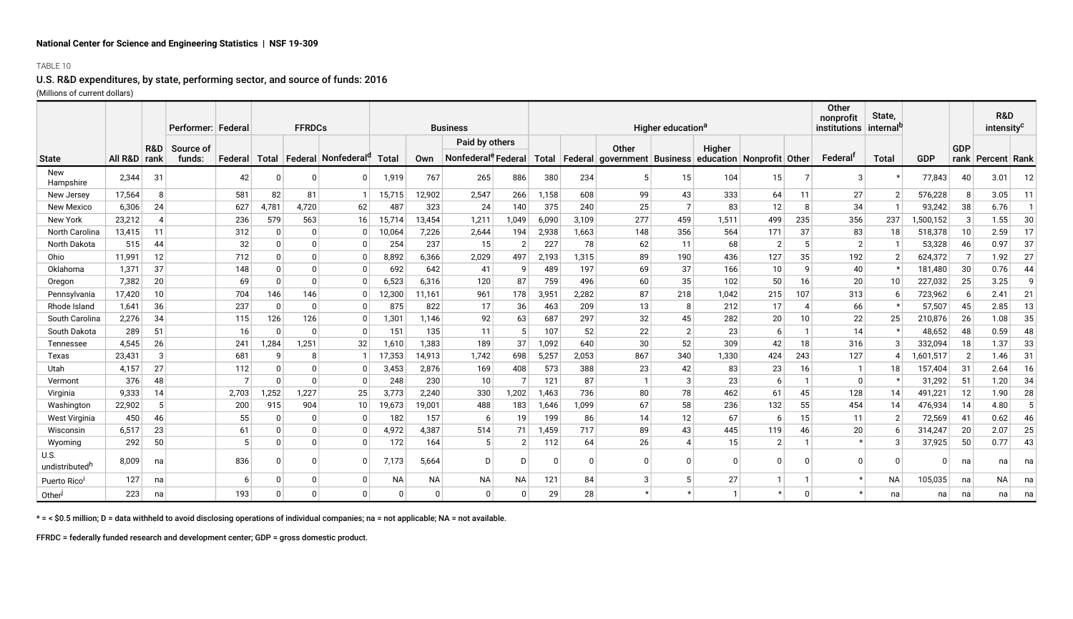## **National Center for Science and Engineering Statistics | NSF 19-309**

## TABLE 10

## U.S. R&D expenditures, by state, performing sector, and source of funds: 2016 (Millions of current dollars)

|                                    |              |                | Performer: Federal |         |              | <b>FFRDCs</b> |                                        | <b>Business</b> |           |                                 |                | Higher education <sup>a</sup> |       |                                                        |                |        |                |         | Other<br>nonprofit<br>institutions internal <sup>b</sup> | State,       |            |                | <b>R&amp;D</b><br>intensity <sup>c</sup> |    |
|------------------------------------|--------------|----------------|--------------------|---------|--------------|---------------|----------------------------------------|-----------------|-----------|---------------------------------|----------------|-------------------------------|-------|--------------------------------------------------------|----------------|--------|----------------|---------|----------------------------------------------------------|--------------|------------|----------------|------------------------------------------|----|
|                                    |              | R&D            | Source of          |         |              |               |                                        |                 |           | Paid by others                  |                |                               |       | Other                                                  |                | Higher |                |         |                                                          |              |            | <b>GDP</b>     |                                          |    |
| <b>State</b>                       | All R&D rank |                | funds:             | Federal | Total        |               | <b>Federal Nonfederal</b> <sup>q</sup> | Total           | Own       | Nonfederal <sup>e</sup> Federal |                | Total                         |       | Federal  government   Business   education   Nonprofit |                |        |                | ∣ Other | Federal                                                  | <b>Total</b> | <b>GDP</b> |                | rank   Percent   Rank                    |    |
| New<br>Hampshire                   | 2.344        | 31             |                    | 42      | 0            | <sup>0</sup>  |                                        | 1,919           | 767       | 265                             | 886            | 380                           | 234   | 5                                                      | 15             | 104    | 15             |         | 3                                                        | $\star$      | 77,843     | 40             | 3.01                                     | 12 |
| New Jersey                         | 17,564       | 8              |                    | 581     | 82           | 81            |                                        | 15,715          | 12,902    | 2,547                           | 266            | 1,158                         | 608   | 99                                                     | 43             | 333    | 64             | 11      | 27                                                       | 2            | 576,228    | -8             | 3.05                                     | 11 |
| <b>New Mexico</b>                  | 6.306        | 24             |                    | 627     | 4.781        | 4,720         | 62                                     | 487             | 323       | 24                              | 140            | 375                           | 240   | 25                                                     |                | 83     | 12             | -8      | 34                                                       | $\mathbf{1}$ | 93.242     | 38             | 6.76                                     |    |
| New York                           | 23,212       | $\overline{4}$ |                    | 236     | 579          | 563           | 16                                     | 15,714          | 13,454    | 1,211                           | 1,049          | 6,090                         | 3,109 | 277                                                    | 459            | 1,511  | 499            | 235     | 356                                                      | 237          | 1,500,152  |                | 1.55                                     | 30 |
| <b>North Carolina</b>              | 13,415       | 11             |                    | 312     | $\Omega$     |               |                                        | 10,064          | 7,226     | 2.644                           | 194            | 2,938                         | 1,663 | 148                                                    | 356            | 564    | 171            | 37      | 83                                                       | 18           | 518,378    | 10             | 2.59                                     | 17 |
| North Dakota                       | 515          | 44             |                    | 32      | 0            |               |                                        | 254             | 237       | 15                              | $\overline{2}$ | 227                           | 78    | 62                                                     | 11             | 68     | $\overline{2}$ | 5       | $\overline{2}$                                           | -1           | 53,328     | 46             | 0.97                                     | 37 |
| Ohio                               | 11.991       | 12             |                    | 712     | $\mathbf{0}$ |               |                                        | 8,892           | 6,366     | 2,029                           | 497            | 2,193                         | 1,315 | 89                                                     | 190            | 436    | 127            | 35      | 192                                                      | 2            | 624,372    |                | 1.92                                     | 27 |
| Oklahoma                           | 1,371        | 37             |                    | 148     | $\mathbf{0}$ |               |                                        | 692             | 642       | 41                              | 9              | 489                           | 197   | 69                                                     | 37             | 166    | 10             | q       | 40                                                       | $\star$      | 181.480    | 30             | 0.76                                     | 44 |
| Oregon                             | 7,382        | 20             |                    | 69      | $\Omega$     | O             |                                        | 6,523           | 6,316     | 120                             | 87             | 759                           | 496   | 60                                                     | 35             | 102    | 50             | 16      | 20                                                       | 10           | 227,032    | 25             | 3.25                                     | q  |
| Pennsylvania                       | 17,420       | 10             |                    | 704     | 146          | 146           |                                        | 12,300          | 11,161    | 961                             | 178            | 3,951                         | 2,282 | 87                                                     | 218            | 1.042  | 215            | 107     | 313                                                      | -6           | 723,962    |                | 2.41                                     | 21 |
| Rhode Island                       | 1,641        | 36             |                    | 237     | $\Omega$     | U             |                                        | 875             | 822       | 17                              | 36             | 463                           | 209   | 13                                                     | 8              | 212    | 17             | 4       | 66                                                       | $\star$      | 57,507     | 45             | 2.85                                     | 13 |
| South Carolina                     | 2,276        | 34             |                    | 115     | 126          | 126           |                                        | 1,301           | 1,146     | 92                              | 63             | 687                           | 297   | 32                                                     | 45             | 282    | 20             | 10      | 22                                                       | 25           | 210,876    | 26             | 1.08                                     | 35 |
| South Dakota                       | 289          | 51             |                    | 16      | $\Omega$     | n             |                                        | 151             | 135       | 11                              | -5             | 107                           | 52    | 22                                                     | $\overline{2}$ | 23     | -6             |         | 14                                                       | $\star$      | 48,652     | 48             | 0.59                                     | 48 |
| Tennessee                          | 4,545        | 26             |                    | 241     | 1,284        | 1,251         | 32                                     | 1,610           | 1,383     | 189                             | 37             | 1,092                         | 640   | 30                                                     | 52             | 309    | 42             | 18      | 316                                                      | 3            | 332,094    | 18             | 1.37                                     | 33 |
| Texas                              | 23,431       | $\mathbf{3}$   |                    | 681     | q            |               |                                        | 17,353          | 14,913    | 1,742                           | 698            | 5,257                         | 2,053 | 867                                                    | 340            | 1,330  | 424            | 243     | 127                                                      | 4            | 1,601,517  | $\overline{2}$ | 1.46                                     | 31 |
| Utah                               | 4,157        | 27             |                    | 112     | $\mathbf{0}$ |               |                                        | 3,453           | 2,876     | 169                             | 408            | 573                           | 388   | 23                                                     | 42             | 83     | 23             | 16      |                                                          | 18           | 157,404    | -31            | 2.64                                     | 16 |
| Vermont                            | 376          | 48             |                    |         | <sup>0</sup> | U             |                                        | 248             | 230       | 10                              | 7              | 121                           | 87    |                                                        | 3              | 23     | -6             |         | 0                                                        | $\star$      | 31,292     | -51            | 1.20                                     | 34 |
| Virginia                           | 9,333        | 14             |                    | 2.703   | 1.252        | 1,227         | 25                                     | 3,773           | 2,240     | 330                             | 1.202          | 1,463                         | 736   | 80                                                     | 78             | 462    | 61             | 45      | 128                                                      | 14           | 491,221    | -12            | 1.90                                     | 28 |
| Washington                         | 22,902       | 5              |                    | 200     | 915          | 904           | 10                                     | 19,673          | 19,001    | 488                             | 183            | 1,646                         | 1,099 | 67                                                     | 58             | 236    | 132            | 55      | 454                                                      | 14           | 476,934    | 14             | 4.80                                     |    |
| West Virginia                      | 450          | 46             |                    | 55      | 0            |               |                                        | 182             | 157       | 6                               | 19             | 199                           | 86    | 14                                                     | 12             | 67     | -6             | 15      | 11                                                       | 2            | 72,569     | 41             | 0.62                                     | 46 |
| Wisconsin                          | 6.517        | 23             |                    | 61      | $\Omega$     |               |                                        | 4.972           | 4,387     | 514                             | 71             | 1,459                         | 717   | 89                                                     | 43             | 445    | 119            | 46      | 20                                                       | 6            | 314,247    | 20             | 2.07                                     | 25 |
| Wyoming                            | 292          | 50             |                    |         | $\Omega$     |               | $\Omega$                               | 172             | 164       |                                 | $\overline{2}$ | 112                           | 64    | 26                                                     |                | 15     | $\overline{2}$ |         |                                                          | 3            | 37,925     | 50             | 0.77                                     | 43 |
| U.S.<br>undistributed <sup>h</sup> | 8,009        | na             |                    | 836     |              |               |                                        | 7.173           | 5,664     | D                               | D              |                               |       |                                                        |                |        | $\Omega$       |         | n                                                        |              | O          | na             | na                                       | na |
| Puerto Rico                        | 127          | na             |                    |         | 0            | $\Omega$      | $\Omega$                               | NA              | <b>NA</b> | <b>NA</b>                       | <b>NA</b>      | 121                           | 84    | 3                                                      |                | 27     |                |         |                                                          | <b>NA</b>    | 105,035    | na             | <b>NA</b>                                | na |
| Other                              | 223          | na             |                    | 193     | $\Omega$     |               |                                        | $\Omega$        | $\Omega$  | $\Omega$                        |                | 29                            | 28    |                                                        |                |        |                |         |                                                          | na           | na         | na             | na                                       | na |

\* = < \$0.5 million; D = data withheld to avoid disclosing operations of individual companies; na = not applicable; NA = not available.

FFRDC = federally funded research and development center; GDP = gross domestic product.